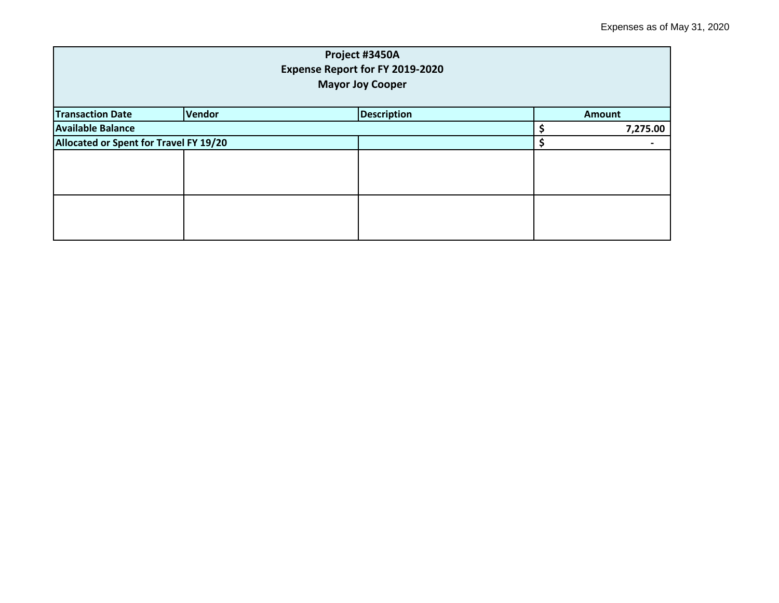| Project #3450A<br><b>Expense Report for FY 2019-2020</b><br><b>Mayor Joy Cooper</b> |        |                    |  |               |  |  |
|-------------------------------------------------------------------------------------|--------|--------------------|--|---------------|--|--|
| <b>Transaction Date</b>                                                             | Vendor | <b>Description</b> |  | <b>Amount</b> |  |  |
| <b>Available Balance</b>                                                            |        |                    |  | 7,275.00      |  |  |
| Allocated or Spent for Travel FY 19/20                                              |        |                    |  |               |  |  |
|                                                                                     |        |                    |  |               |  |  |
|                                                                                     |        |                    |  |               |  |  |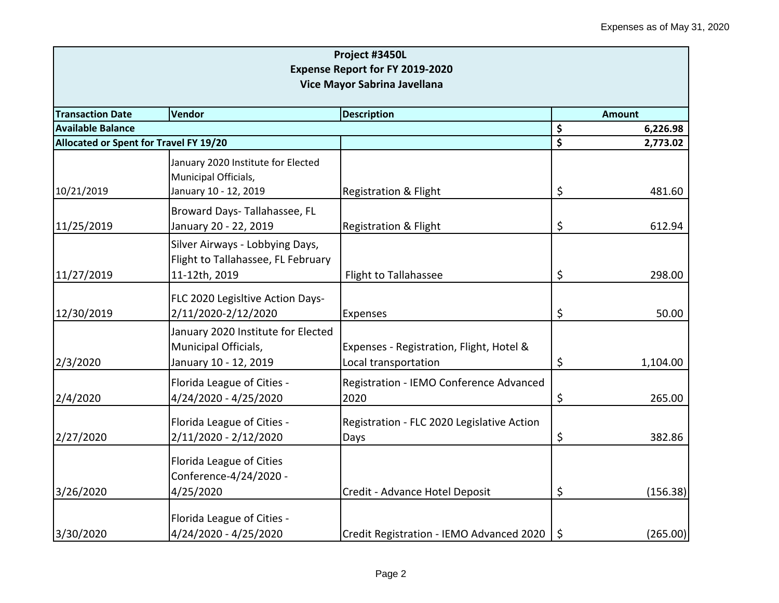| Project #3450L<br><b>Expense Report for FY 2019-2020</b><br>Vice Mayor Sabrina Javellana |                                                                                        |                                                                  |    |          |  |
|------------------------------------------------------------------------------------------|----------------------------------------------------------------------------------------|------------------------------------------------------------------|----|----------|--|
| <b>Transaction Date</b>                                                                  | Vendor<br><b>Description</b>                                                           |                                                                  |    |          |  |
| <b>Available Balance</b>                                                                 |                                                                                        |                                                                  | \$ | 6,226.98 |  |
| Allocated or Spent for Travel FY 19/20                                                   |                                                                                        |                                                                  | \$ | 2,773.02 |  |
| 10/21/2019                                                                               | January 2020 Institute for Elected<br>Municipal Officials,<br>January 10 - 12, 2019    | <b>Registration &amp; Flight</b>                                 | \$ | 481.60   |  |
| 11/25/2019                                                                               | Broward Days-Tallahassee, FL<br>January 20 - 22, 2019                                  | Registration & Flight                                            | \$ | 612.94   |  |
| 11/27/2019                                                                               | Silver Airways - Lobbying Days,<br>Flight to Tallahassee, FL February<br>11-12th, 2019 | Flight to Tallahassee                                            | \$ | 298.00   |  |
| 12/30/2019                                                                               | FLC 2020 Legisltive Action Days-<br>2/11/2020-2/12/2020                                | Expenses                                                         | \$ | 50.00    |  |
| 2/3/2020                                                                                 | January 2020 Institute for Elected<br>Municipal Officials,<br>January 10 - 12, 2019    | Expenses - Registration, Flight, Hotel &<br>Local transportation | \$ | 1,104.00 |  |
| 2/4/2020                                                                                 | Florida League of Cities -<br>4/24/2020 - 4/25/2020                                    | Registration - IEMO Conference Advanced<br>2020                  | \$ | 265.00   |  |
| 2/27/2020                                                                                | Florida League of Cities -<br>2/11/2020 - 2/12/2020                                    | Registration - FLC 2020 Legislative Action<br>Days               | \$ | 382.86   |  |
| 3/26/2020                                                                                | Florida League of Cities<br>Conference-4/24/2020 -<br>4/25/2020                        | Credit - Advance Hotel Deposit                                   | \$ | (156.38) |  |
| 3/30/2020                                                                                | Florida League of Cities -<br>4/24/2020 - 4/25/2020                                    | Credit Registration - IEMO Advanced 2020                         | \$ | (265.00) |  |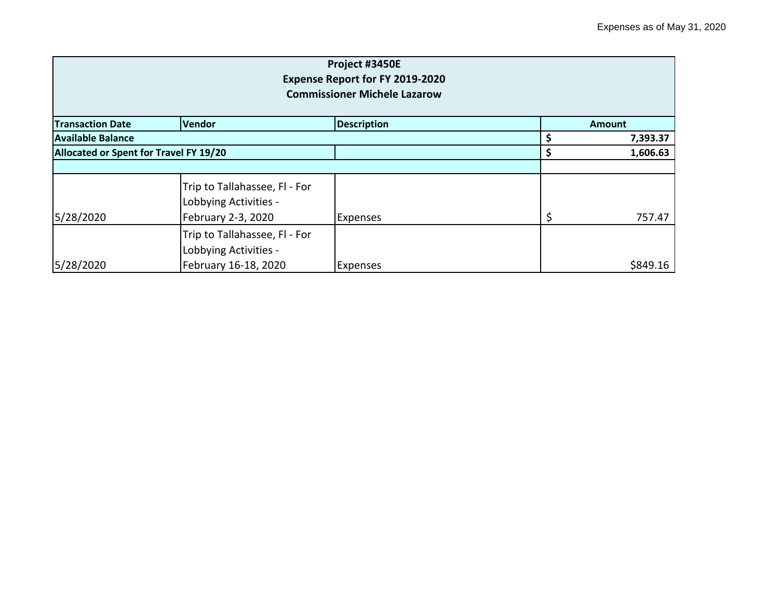| Project #3450E<br>Expense Report for FY 2019-2020<br><b>Commissioner Michele Lazarow</b> |                                                                              |                    |               |          |  |
|------------------------------------------------------------------------------------------|------------------------------------------------------------------------------|--------------------|---------------|----------|--|
| <b>Transaction Date</b>                                                                  | <b>Vendor</b>                                                                | <b>Description</b> | <b>Amount</b> |          |  |
| <b>Available Balance</b>                                                                 |                                                                              |                    |               | 7,393.37 |  |
| Allocated or Spent for Travel FY 19/20                                                   |                                                                              |                    | \$            | 1,606.63 |  |
| 5/28/2020                                                                                | Trip to Tallahassee, Fl - For<br>Lobbying Activities -<br>February 2-3, 2020 | <b>Expenses</b>    | \$            | 757.47   |  |
|                                                                                          | Trip to Tallahassee, Fl - For<br>Lobbying Activities -                       |                    |               |          |  |
| 5/28/2020                                                                                | February 16-18, 2020                                                         | <b>Expenses</b>    |               | \$849.16 |  |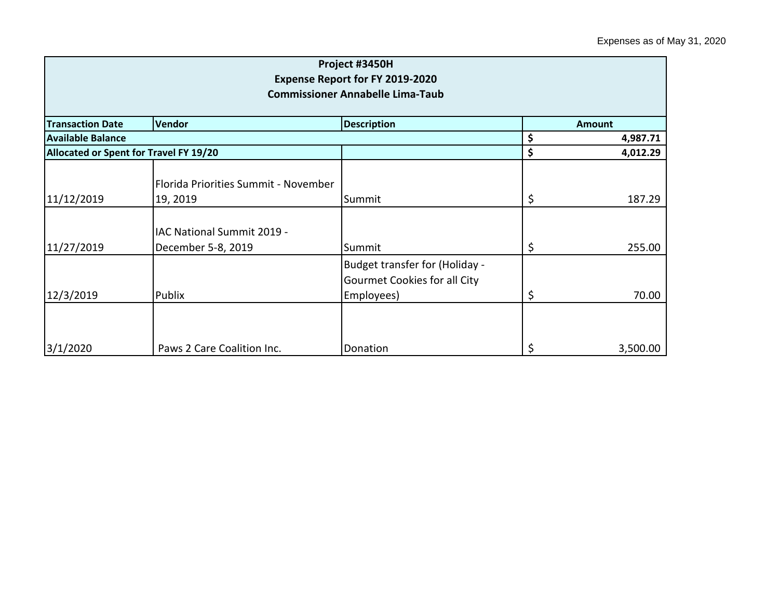| Project #3450H<br><b>Expense Report for FY 2019-2020</b><br><b>Commissioner Annabelle Lima-Taub</b> |                                                  |                                                                              |    |               |  |
|-----------------------------------------------------------------------------------------------------|--------------------------------------------------|------------------------------------------------------------------------------|----|---------------|--|
| <b>Transaction Date</b>                                                                             | Vendor                                           | <b>Description</b>                                                           |    | <b>Amount</b> |  |
| <b>Available Balance</b>                                                                            |                                                  |                                                                              | \$ | 4,987.71      |  |
| <b>Allocated or Spent for Travel FY 19/20</b>                                                       |                                                  |                                                                              | \$ | 4,012.29      |  |
| 11/12/2019                                                                                          | Florida Priorities Summit - November<br>19, 2019 | Summit                                                                       | \$ | 187.29        |  |
| 11/27/2019                                                                                          | IAC National Summit 2019 -<br>December 5-8, 2019 | Summit                                                                       | \$ | 255.00        |  |
| 12/3/2019                                                                                           | Publix                                           | Budget transfer for (Holiday -<br>Gourmet Cookies for all City<br>Employees) | \$ | 70.00         |  |
| 3/1/2020                                                                                            | Paws 2 Care Coalition Inc.                       | Donation                                                                     | \$ | 3,500.00      |  |